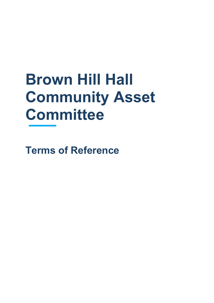# **Brown Hill Hall Community Asset Committee**

**Terms of Reference**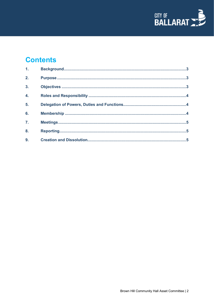

# **Contents**

| 1.               |  |
|------------------|--|
| 2.               |  |
| $\overline{3}$ . |  |
| $\overline{4}$ . |  |
| 5.               |  |
| 6.               |  |
| $\overline{7}$ . |  |
| 8.               |  |
| 9.               |  |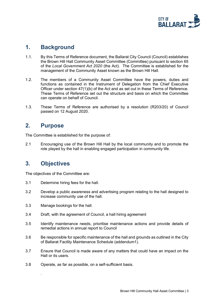

#### <span id="page-2-0"></span>**1. Background**

- 1.1. By this Terms of Reference document, the Ballarat City Council (Council) establishes the Brown Hill Hall Community Asset Committee (Committee) pursuant to section 65 of the *Local Government Act 2020* (the Act). The Committee is established for the management of the Community Asset known as the Brown Hill Hall.
- 1.2. The members of a Community Asset Committee have the powers, duties and functions as contained in the Instrument of Delegation from the Chief Executive Officer under section 47(1)(b) of the Act and as set out in these Terms of Reference. These Terms of Reference set out the structure and basis on which the Committee can operate on behalf of Council.
- 1.3. These Terms of Reference are authorised by a resolution (R203/20) of Council passed on 12 August 2020.

#### <span id="page-2-1"></span>**2. Purpose**

The Committee is established for the purpose of:

2.1 Encouraging use of the Brown Hill Hall by the local community and to promote the role played by the hall in enabling engaged participation in community life.

## <span id="page-2-2"></span>**3. Objectives**

*.*

The objectives of the Committee are:

- 3.1 Determine hiring fees for the hall.
- 3.2 Develop a public awareness and advertising program relating to the hall designed to increase community use of the hall.
- 3.3 Manage bookings for the hall.
- 3.4 Draft, with the agreement of Council, a hall hiring agreement
- 3.5 Identify maintenance needs, prioritise maintenance actions and provide details of remedial actions in annual report to Council
- 3.6 Be responsible for specific maintenance of the hall and grounds as outlined in the City of Ballarat Facility Maintenance Schedule (addendum1).
- 3.7 Ensure that Council is made aware of any matters that could have an impact on the Hall or its users.
- 3.8 Operate, as far as possible, on a self-sufficient basis.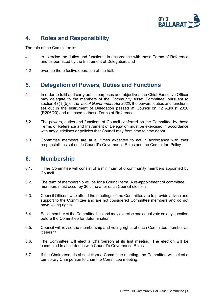

# <span id="page-3-0"></span>**4. Roles and Responsibility**

The role of the Committee is:

- 4.1 to exercise the duties and functions, in accordance with these Terms of Reference and as permitted by the Instrument of Delegation; and
- 4.2 oversee the effective operation of the hall.

#### <span id="page-3-1"></span>**5. Delegation of Powers, Duties and Functions**

- 5.1 In order to fulfil and carry out its purposes and objectives the Chief Executive Officer may delegate to the members of the Community Asset Committee, pursuant to section 47(1)(b) of the *Local Government Act 2020*, the powers, duties and functions set out in the Instrument of Delegation passed at Council on 12 August 2020 (R206/20) and attached to these Terms of Reference.
- 5.2 The powers, duties and functions of Council conferred on the Committee by these Terms of Reference and Instrument of Delegation must be exercised in accordance with any guidelines or policies that Council may from time to time adopt.
- 5.3 Committee members are at all times expected to act in accordance with their responsibilities set out in Council's Governance Rules and the Committee Policy.

#### <span id="page-3-2"></span>**6. Membership**

- 6.1. The Committee will consist of a minimum of 6 community members appointed by Council
- 6.2. The term of membership will be for a Council term. A re-appointment of committee members must occur by 30 June after each Council election
- 6.3. Council Officers who attend the meetings of the Committee are to provide advice and support to the Committee and are not considered Committee members and do not have voting rights.
- 6.4. Each member of the Committee has and may exercise one equal vote on any question before the Committee for determination.
- 6.5. Council will revise the membership and voting rights of each Committee member as it sees fit.
- 6.6. The Committee will elect a Chairperson at its first meeting. The election will be conducted in accordance with Council's Governance Rules.
- 6.7. If the Chairperson is absent from a Committee meeting, the Committee will select a temporary Chairperson to chair the Committee meeting.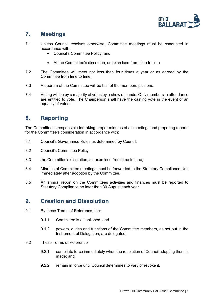

# <span id="page-4-0"></span>**7. Meetings**

- 7.1 Unless Council resolves otherwise, Committee meetings must be conducted in accordance with:
	- Council's Committee Policy; and
	- At the Committee's discretion, as exercised from time to time.
- 7.2 The Committee will meet not less than four times a year or as agreed by the Committee from time to time.
- 7.3 A quorum of the Committee will be half of the members plus one.
- 7.4 Voting will be by a majority of votes by a show of hands. Only members in attendance are entitled to vote. The Chairperson shall have the casting vote in the event of an equality of votes.

## <span id="page-4-1"></span>**8. Reporting**

The Committee is responsible for taking proper minutes of all meetings and preparing reports for the Committee's consideration in accordance with:

- 8.1 Council's Governance Rules as determined by Council;
- 8.2 Council's Committee Policy
- 8.3 the Committee's discretion, as exercised from time to time;
- 8.4 Minutes of Committee meetings must be forwarded to the Statutory Compliance Unit immediately after adoption by the Committee.
- 8.5 An annual report on the Committees activities and finances must be reported to Statutory Compliance no later than 30 August each year

#### <span id="page-4-2"></span>**9. Creation and Dissolution**

- 9.1 By these Terms of Reference, the:
	- 9.1.1 Committee is established; and
	- 9.1.2 powers, duties and functions of the Committee members, as set out in the Instrument of Delegation, are delegated.
- 9.2 These Terms of Reference
	- 9.2.1 come into force immediately when the resolution of Council adopting them is made; and
	- 9.2.2 remain in force until Council determines to vary or revoke it.